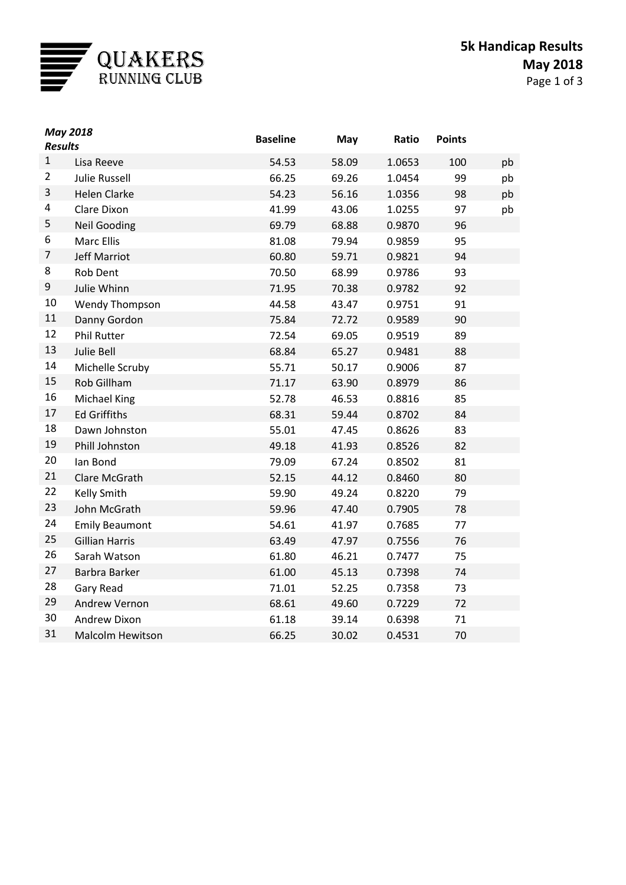

| <b>May 2018</b><br><b>Results</b> |                         | <b>Baseline</b> | May   | Ratio  | <b>Points</b> |    |
|-----------------------------------|-------------------------|-----------------|-------|--------|---------------|----|
| $\mathbf{1}$                      | Lisa Reeve              | 54.53           | 58.09 | 1.0653 | 100           | pb |
| $\overline{2}$                    | <b>Julie Russell</b>    | 66.25           | 69.26 | 1.0454 | 99            | pb |
| 3                                 | <b>Helen Clarke</b>     | 54.23           | 56.16 | 1.0356 | 98            | pb |
| 4                                 | Clare Dixon             | 41.99           | 43.06 | 1.0255 | 97            | pb |
| 5                                 | <b>Neil Gooding</b>     | 69.79           | 68.88 | 0.9870 | 96            |    |
| 6                                 | <b>Marc Ellis</b>       | 81.08           | 79.94 | 0.9859 | 95            |    |
| 7                                 | <b>Jeff Marriot</b>     | 60.80           | 59.71 | 0.9821 | 94            |    |
| 8                                 | <b>Rob Dent</b>         | 70.50           | 68.99 | 0.9786 | 93            |    |
| 9                                 | Julie Whinn             | 71.95           | 70.38 | 0.9782 | 92            |    |
| 10                                | <b>Wendy Thompson</b>   | 44.58           | 43.47 | 0.9751 | 91            |    |
| 11                                | Danny Gordon            | 75.84           | 72.72 | 0.9589 | 90            |    |
| 12                                | <b>Phil Rutter</b>      | 72.54           | 69.05 | 0.9519 | 89            |    |
| 13                                | Julie Bell              | 68.84           | 65.27 | 0.9481 | 88            |    |
| 14                                | Michelle Scruby         | 55.71           | 50.17 | 0.9006 | 87            |    |
| 15                                | Rob Gillham             | 71.17           | 63.90 | 0.8979 | 86            |    |
| 16                                | <b>Michael King</b>     | 52.78           | 46.53 | 0.8816 | 85            |    |
| 17                                | <b>Ed Griffiths</b>     | 68.31           | 59.44 | 0.8702 | 84            |    |
| 18                                | Dawn Johnston           | 55.01           | 47.45 | 0.8626 | 83            |    |
| 19                                | Phill Johnston          | 49.18           | 41.93 | 0.8526 | 82            |    |
| 20                                | lan Bond                | 79.09           | 67.24 | 0.8502 | 81            |    |
| 21                                | Clare McGrath           | 52.15           | 44.12 | 0.8460 | 80            |    |
| 22                                | <b>Kelly Smith</b>      | 59.90           | 49.24 | 0.8220 | 79            |    |
| 23                                | John McGrath            | 59.96           | 47.40 | 0.7905 | 78            |    |
| 24                                | <b>Emily Beaumont</b>   | 54.61           | 41.97 | 0.7685 | 77            |    |
| 25                                | <b>Gillian Harris</b>   | 63.49           | 47.97 | 0.7556 | 76            |    |
| 26                                | Sarah Watson            | 61.80           | 46.21 | 0.7477 | 75            |    |
| 27                                | Barbra Barker           | 61.00           | 45.13 | 0.7398 | 74            |    |
| 28                                | Gary Read               | 71.01           | 52.25 | 0.7358 | 73            |    |
| 29                                | Andrew Vernon           | 68.61           | 49.60 | 0.7229 | 72            |    |
| 30                                | Andrew Dixon            | 61.18           | 39.14 | 0.6398 | 71            |    |
| 31                                | <b>Malcolm Hewitson</b> | 66.25           | 30.02 | 0.4531 | 70            |    |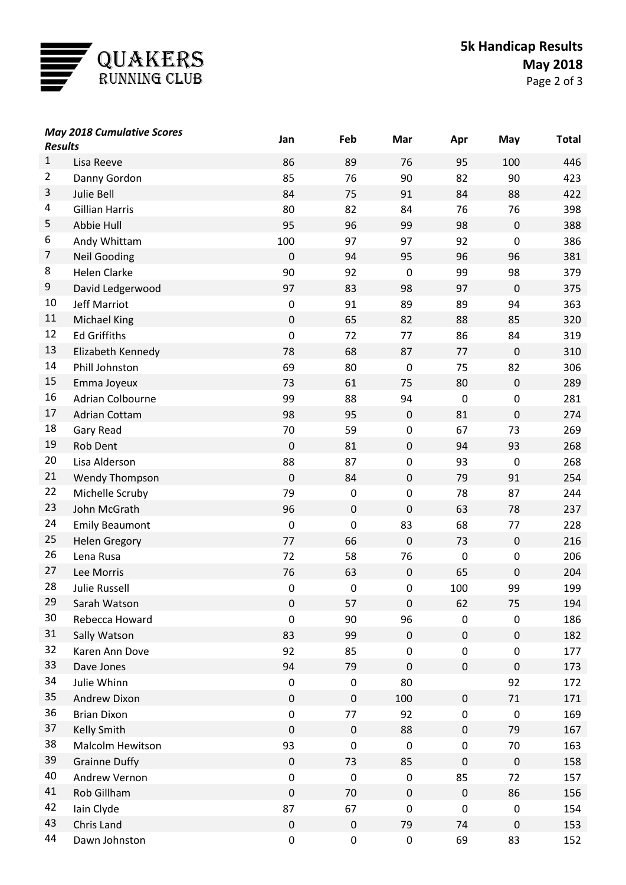

| <b>May 2018 Cumulative Scores</b><br><b>Results</b> |                       | Jan              | Feb         | Mar         | Apr              | May              | <b>Total</b> |
|-----------------------------------------------------|-----------------------|------------------|-------------|-------------|------------------|------------------|--------------|
| $\mathbf{1}$                                        | Lisa Reeve            | 86               | 89          | 76          | 95               | 100              | 446          |
| $\overline{c}$                                      | Danny Gordon          | 85               | 76          | 90          | 82               | 90               | 423          |
| 3                                                   | Julie Bell            | 84               | 75          | 91          | 84               | 88               | 422          |
| 4                                                   | <b>Gillian Harris</b> | 80               | 82          | 84          | 76               | 76               | 398          |
| 5                                                   | Abbie Hull            | 95               | 96          | 99          | 98               | $\pmb{0}$        | 388          |
| 6                                                   | Andy Whittam          | 100              | 97          | 97          | 92               | $\boldsymbol{0}$ | 386          |
| $\overline{7}$                                      | <b>Neil Gooding</b>   | $\mathbf 0$      | 94          | 95          | 96               | 96               | 381          |
| 8                                                   | <b>Helen Clarke</b>   | 90               | 92          | $\pmb{0}$   | 99               | 98               | 379          |
| 9                                                   | David Ledgerwood      | 97               | 83          | 98          | 97               | $\boldsymbol{0}$ | 375          |
| 10                                                  | Jeff Marriot          | $\pmb{0}$        | 91          | 89          | 89               | 94               | 363          |
| 11                                                  | <b>Michael King</b>   | $\mathbf 0$      | 65          | 82          | 88               | 85               | 320          |
| 12                                                  | <b>Ed Griffiths</b>   | $\boldsymbol{0}$ | 72          | 77          | 86               | 84               | 319          |
| 13                                                  | Elizabeth Kennedy     | 78               | 68          | 87          | 77               | $\boldsymbol{0}$ | 310          |
| 14                                                  | Phill Johnston        | 69               | 80          | $\mathbf 0$ | 75               | 82               | 306          |
| 15                                                  | Emma Joyeux           | 73               | 61          | 75          | 80               | $\pmb{0}$        | 289          |
| 16                                                  | Adrian Colbourne      | 99               | 88          | 94          | $\mathbf 0$      | $\boldsymbol{0}$ | 281          |
| 17                                                  | <b>Adrian Cottam</b>  | 98               | 95          | $\pmb{0}$   | 81               | $\mathbf 0$      | 274          |
| 18                                                  | Gary Read             | 70               | 59          | $\pmb{0}$   | 67               | 73               | 269          |
| 19                                                  | <b>Rob Dent</b>       | $\mathbf 0$      | 81          | $\mathbf 0$ | 94               | 93               | 268          |
| 20                                                  | Lisa Alderson         | 88               | 87          | $\pmb{0}$   | 93               | $\boldsymbol{0}$ | 268          |
| 21                                                  | Wendy Thompson        | $\mathbf 0$      | 84          | $\pmb{0}$   | 79               | 91               | 254          |
| 22                                                  | Michelle Scruby       | 79               | $\pmb{0}$   | $\pmb{0}$   | 78               | 87               | 244          |
| 23                                                  | John McGrath          | 96               | $\mathbf 0$ | $\mathbf 0$ | 63               | 78               | 237          |
| 24                                                  | <b>Emily Beaumont</b> | $\mathbf 0$      | 0           | 83          | 68               | 77               | 228          |
| 25                                                  | <b>Helen Gregory</b>  | 77               | 66          | $\pmb{0}$   | 73               | $\pmb{0}$        | 216          |
| 26                                                  | Lena Rusa             | 72               | 58          | 76          | $\boldsymbol{0}$ | $\pmb{0}$        | 206          |
| 27                                                  | Lee Morris            | 76               | 63          | $\pmb{0}$   | 65               | $\boldsymbol{0}$ | 204          |
| 28                                                  | <b>Julie Russell</b>  | $\pmb{0}$        | 0           | $\pmb{0}$   | 100              | 99               | 199          |
| 29                                                  | Sarah Watson          | $\pmb{0}$        | 57          | $\pmb{0}$   | 62               | 75               | 194          |
| 30                                                  | Rebecca Howard        | $\boldsymbol{0}$ | 90          | 96          | 0                | 0                | 186          |
| 31                                                  | Sally Watson          | 83               | 99          | $\mathbf 0$ | $\pmb{0}$        | $\pmb{0}$        | 182          |
| 32                                                  | Karen Ann Dove        | 92               | 85          | $\pmb{0}$   | 0                | $\pmb{0}$        | 177          |
| 33                                                  | Dave Jones            | 94               | 79          | $\mathbf 0$ | $\pmb{0}$        | $\pmb{0}$        | 173          |
| 34                                                  | Julie Whinn           | $\pmb{0}$        | $\pmb{0}$   | 80          |                  | 92               | 172          |
| 35                                                  | Andrew Dixon          | $\mathbf 0$      | $\pmb{0}$   | 100         | $\mathbf 0$      | 71               | 171          |
| 36                                                  | <b>Brian Dixon</b>    | $\pmb{0}$        | 77          | 92          | 0                | $\pmb{0}$        | 169          |
| 37                                                  | <b>Kelly Smith</b>    | $\pmb{0}$        | $\pmb{0}$   | 88          | $\pmb{0}$        | 79               | 167          |
| 38                                                  | Malcolm Hewitson      | 93               | 0           | $\pmb{0}$   | $\pmb{0}$        | 70               | 163          |
| 39                                                  | <b>Grainne Duffy</b>  | $\pmb{0}$        | 73          | 85          | $\pmb{0}$        | $\pmb{0}$        | 158          |
| 40                                                  | Andrew Vernon         | $\pmb{0}$        | $\pmb{0}$   | $\mathbf 0$ | 85               | 72               | 157          |
| 41                                                  | Rob Gillham           | $\mathbf 0$      | 70          | $\pmb{0}$   | $\pmb{0}$        | 86               | 156          |
| 42                                                  | Iain Clyde            | 87               | 67          | $\mathbf 0$ | $\pmb{0}$        | 0                | 154          |
| 43                                                  | Chris Land            | $\pmb{0}$        | $\pmb{0}$   | 79          | 74               | $\pmb{0}$        | 153          |
| 44                                                  | Dawn Johnston         | $\pmb{0}$        | 0           | $\pmb{0}$   | 69               | 83               | 152          |